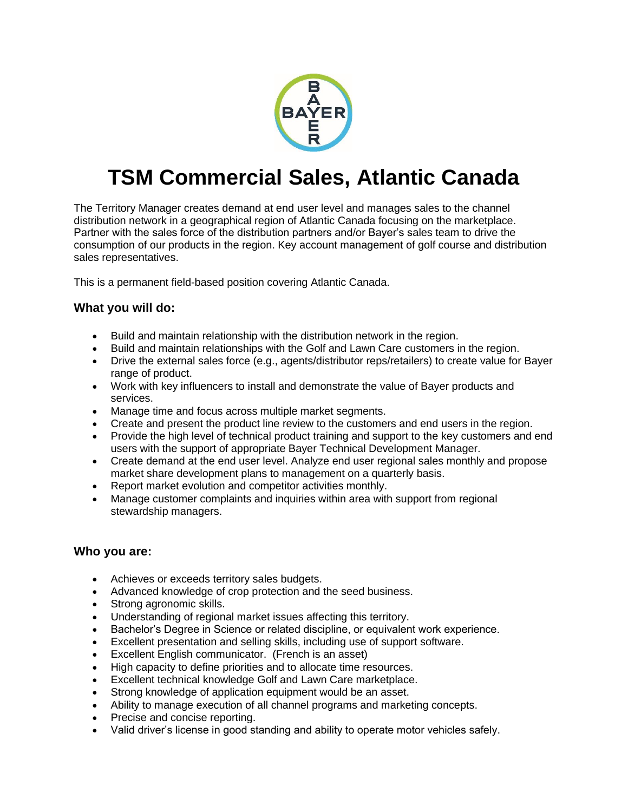

# **TSM Commercial Sales, Atlantic Canada**

The Territory Manager creates demand at end user level and manages sales to the channel distribution network in a geographical region of Atlantic Canada focusing on the marketplace. Partner with the sales force of the distribution partners and/or Bayer's sales team to drive the consumption of our products in the region. Key account management of golf course and distribution sales representatives.

This is a permanent field-based position covering Atlantic Canada.

# **What you will do:**

- Build and maintain relationship with the distribution network in the region.
- Build and maintain relationships with the Golf and Lawn Care customers in the region.
- Drive the external sales force (e.g., agents/distributor reps/retailers) to create value for Bayer range of product.
- Work with key influencers to install and demonstrate the value of Bayer products and services.
- Manage time and focus across multiple market segments.
- Create and present the product line review to the customers and end users in the region.
- Provide the high level of technical product training and support to the key customers and end users with the support of appropriate Bayer Technical Development Manager.
- Create demand at the end user level. Analyze end user regional sales monthly and propose market share development plans to management on a quarterly basis.
- Report market evolution and competitor activities monthly.
- Manage customer complaints and inquiries within area with support from regional stewardship managers.

### **Who you are:**

- Achieves or exceeds territory sales budgets.
- Advanced knowledge of crop protection and the seed business.
- Strong agronomic skills.
- Understanding of regional market issues affecting this territory.
- Bachelor's Degree in Science or related discipline, or equivalent work experience.
- Excellent presentation and selling skills, including use of support software.
- Excellent English communicator. (French is an asset)
- High capacity to define priorities and to allocate time resources.
- Excellent technical knowledge Golf and Lawn Care marketplace.
- Strong knowledge of application equipment would be an asset.
- Ability to manage execution of all channel programs and marketing concepts.
- Precise and concise reporting.
- Valid driver's license in good standing and ability to operate motor vehicles safely.